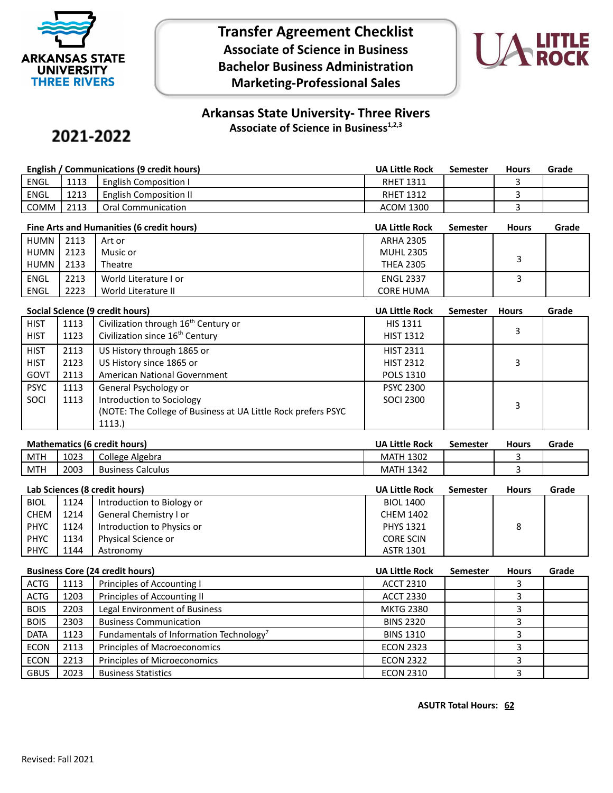

**Transfer Agreement Checklist Associate of Science in Business Bachelor Business Administration Marketing-Professional Sales**



## **Arkansas State University- Three Rivers Associate of Science in Business1,2,3**

# 2021-2022

| English / Communications (9 credit hours) |      |                              | UA Little Rock   | Semester | <b>Hours</b> | Grade |
|-------------------------------------------|------|------------------------------|------------------|----------|--------------|-------|
| ENGL                                      | 1113 | <b>English Composition I</b> | <b>RHET 1311</b> |          |              |       |
| ENGL                                      | 1213 | English Composition II       | <b>RHET 1312</b> |          |              |       |
| COMM                                      | 2113 | Oral Communication           | <b>ACOM 1300</b> |          |              |       |

| Fine Arts and Humanities (6 credit hours) |      |                       | <b>UA Little Rock</b> | Semester | <b>Hours</b> | Grade |
|-------------------------------------------|------|-----------------------|-----------------------|----------|--------------|-------|
| HUMN I                                    | 2113 | Art or                | <b>ARHA 2305</b>      |          |              |       |
| HUMN                                      | 2123 | Music or              | <b>MUHL 2305</b>      |          |              |       |
| HUMN I                                    | 2133 | Theatre               | <b>THEA 2305</b>      |          |              |       |
| <b>ENGL</b>                               | 2213 | World Literature I or | <b>ENGL 2337</b>      |          |              |       |
| ENGL                                      | 2223 | World Literature II   | <b>CORE HUMA</b>      |          |              |       |

|             | Social Science (9 credit hours) |                                                                |                  | <b>Semester</b> | <b>Hours</b> | Grade |
|-------------|---------------------------------|----------------------------------------------------------------|------------------|-----------------|--------------|-------|
| <b>HIST</b> | 1113                            | Civilization through 16 <sup>th</sup> Century or               | <b>HIS 1311</b>  |                 |              |       |
| <b>HIST</b> | 1123                            | Civilization since 16 <sup>th</sup> Century                    | <b>HIST 1312</b> |                 | 3            |       |
| <b>HIST</b> | 2113                            | US History through 1865 or                                     | <b>HIST 2311</b> |                 |              |       |
| <b>HIST</b> | 2123                            | US History since 1865 or                                       | <b>HIST 2312</b> |                 |              |       |
| GOVT        | 2113                            | American National Government                                   | <b>POLS 1310</b> |                 |              |       |
| <b>PSYC</b> | 1113                            | General Psychology or                                          | <b>PSYC 2300</b> |                 |              |       |
| SOCI        | 1113                            | Introduction to Sociology                                      | <b>SOCI 2300</b> |                 | 3            |       |
|             |                                 | (NOTE: The College of Business at UA Little Rock prefers PSYC) |                  |                 |              |       |
|             |                                 | 1113.)                                                         |                  |                 |              |       |

| <b>Mathematics (6 credit hours)</b> | <b>UA Little Rock</b> | Semester | <b>Hours</b> | Grade |
|-------------------------------------|-----------------------|----------|--------------|-------|
|-------------------------------------|-----------------------|----------|--------------|-------|

|                                                                                               | MTH<br><b>LUZJ</b> |  |
|-----------------------------------------------------------------------------------------------|--------------------|--|
| <b>MTH</b><br>2003<br>$\sim$ $\sim$<br>Calculus<br><b>Business</b><br>MA.<br>≺⊿<br>---<br>- 1 |                    |  |

|             | Lab Sciences (8 credit hours) |                            |                  | <b>Semester</b> | <b>Hours</b> | Grade |
|-------------|-------------------------------|----------------------------|------------------|-----------------|--------------|-------|
| <b>BIOL</b> | 1124                          | Introduction to Biology or | <b>BIOL 1400</b> |                 |              |       |
| CHEM        | 1214                          | General Chemistry I or     | <b>CHEM 1402</b> |                 |              |       |
| <b>PHYC</b> | 1124                          | Introduction to Physics or | <b>PHYS 1321</b> |                 | 8            |       |
| PHYC        | 1134                          | Physical Science or        | <b>CORE SCIN</b> |                 |              |       |
| <b>PHYC</b> | 1144                          | Astronomy                  | <b>ASTR 1301</b> |                 |              |       |

|             | <b>Business Core (24 credit hours)</b> |                                                     |                  | <b>Semester</b> | <b>Hours</b> | Grade |
|-------------|----------------------------------------|-----------------------------------------------------|------------------|-----------------|--------------|-------|
| ACTG        | 1113                                   | Principles of Accounting I                          | <b>ACCT 2310</b> |                 |              |       |
| <b>ACTG</b> | 1203                                   | Principles of Accounting II                         | <b>ACCT 2330</b> |                 |              |       |
| <b>BOIS</b> | 2203                                   | Legal Environment of Business                       | <b>MKTG 2380</b> |                 |              |       |
| <b>BOIS</b> | 2303                                   | <b>Business Communication</b>                       | <b>BINS 2320</b> |                 |              |       |
| <b>DATA</b> | 1123                                   | Fundamentals of Information Technology <sup>7</sup> | <b>BINS 1310</b> |                 |              |       |
| <b>ECON</b> | 2113                                   | Principles of Macroeconomics                        | <b>ECON 2323</b> |                 |              |       |
| <b>ECON</b> | 2213                                   | Principles of Microeconomics                        | <b>ECON 2322</b> |                 |              |       |
| <b>GBUS</b> | 2023                                   | <b>Business Statistics</b>                          | <b>ECON 2310</b> |                 |              |       |